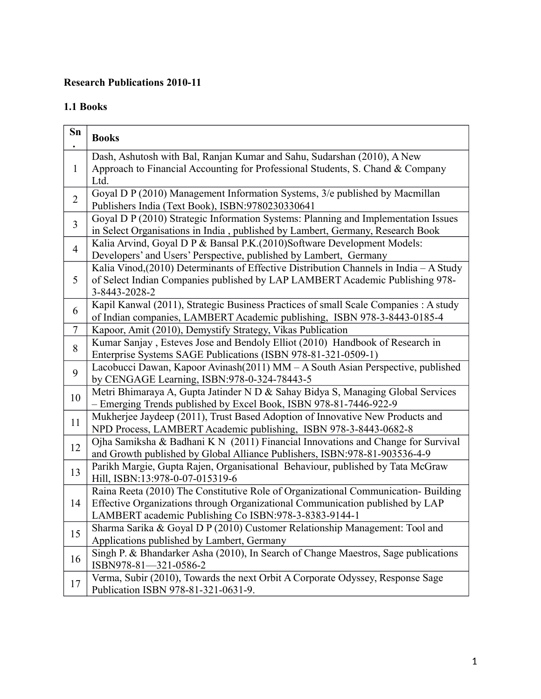## **Research Publications 2010-11**

## **1.1 Books**

| Sn<br>$\bullet$ | <b>Books</b>                                                                                                                                                                                                                |
|-----------------|-----------------------------------------------------------------------------------------------------------------------------------------------------------------------------------------------------------------------------|
| $\mathbf{1}$    | Dash, Ashutosh with Bal, Ranjan Kumar and Sahu, Sudarshan (2010), A New<br>Approach to Financial Accounting for Professional Students, S. Chand & Company<br>Ltd.                                                           |
| $\overline{2}$  | Goyal D P (2010) Management Information Systems, 3/e published by Macmillan<br>Publishers India (Text Book), ISBN:9780230330641                                                                                             |
| $\overline{3}$  | Goyal D P (2010) Strategic Information Systems: Planning and Implementation Issues<br>in Select Organisations in India, published by Lambert, Germany, Research Book                                                        |
| $\overline{4}$  | Kalia Arvind, Goyal D P & Bansal P.K.(2010)Software Development Models:<br>Developers' and Users' Perspective, published by Lambert, Germany                                                                                |
| 5               | Kalia Vinod, (2010) Determinants of Effective Distribution Channels in India - A Study<br>of Select Indian Companies published by LAP LAMBERT Academic Publishing 978-<br>3-8443-2028-2                                     |
| 6               | Kapil Kanwal (2011), Strategic Business Practices of small Scale Companies : A study<br>of Indian companies, LAMBERT Academic publishing, ISBN 978-3-8443-0185-4                                                            |
| $\tau$          | Kapoor, Amit (2010), Demystify Strategy, Vikas Publication                                                                                                                                                                  |
| 8               | Kumar Sanjay, Esteves Jose and Bendoly Elliot (2010) Handbook of Research in<br>Enterprise Systems SAGE Publications (ISBN 978-81-321-0509-1)                                                                               |
| 9               | Lacobucci Dawan, Kapoor Avinash(2011) MM - A South Asian Perspective, published<br>by CENGAGE Learning, ISBN:978-0-324-78443-5                                                                                              |
| 10              | Metri Bhimaraya A, Gupta Jatinder N D & Sahay Bidya S, Managing Global Services<br>- Emerging Trends published by Excel Book, ISBN 978-81-7446-922-9                                                                        |
| 11              | Mukherjee Jaydeep (2011), Trust Based Adoption of Innovative New Products and<br>NPD Process, LAMBERT Academic publishing, ISBN 978-3-8443-0682-8                                                                           |
| 12              | Ojha Samiksha & Badhani K N (2011) Financial Innovations and Change for Survival<br>and Growth published by Global Alliance Publishers, ISBN:978-81-903536-4-9                                                              |
| 13              | Parikh Margie, Gupta Rajen, Organisational Behaviour, published by Tata McGraw<br>Hill, ISBN:13:978-0-07-015319-6                                                                                                           |
| 14              | Raina Reeta (2010) The Constitutive Role of Organizational Communication-Building<br>Effective Organizations through Organizational Communication published by LAP<br>LAMBERT academic Publishing Co ISBN:978-3-8383-9144-1 |
| 15              | Sharma Sarika & Goyal D P (2010) Customer Relationship Management: Tool and<br>Applications published by Lambert, Germany                                                                                                   |
| 16              | Singh P. & Bhandarker Asha (2010), In Search of Change Maestros, Sage publications<br>ISBN978-81-321-0586-2                                                                                                                 |
| 17              | Verma, Subir (2010), Towards the next Orbit A Corporate Odyssey, Response Sage<br>Publication ISBN 978-81-321-0631-9.                                                                                                       |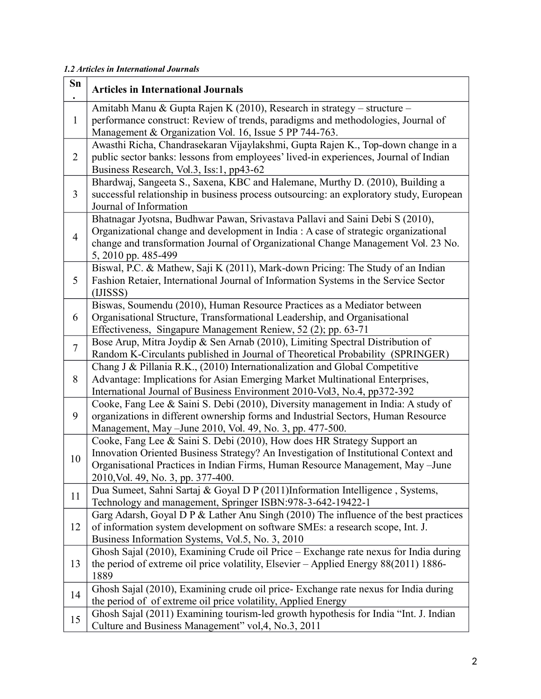#### *1.2 Articles in International Journals*

| Sn<br>$\bullet$ | <b>Articles in International Journals</b>                                                                                                                                                                                                                                               |
|-----------------|-----------------------------------------------------------------------------------------------------------------------------------------------------------------------------------------------------------------------------------------------------------------------------------------|
| $\mathbf{1}$    | Amitabh Manu & Gupta Rajen K (2010), Research in strategy - structure -<br>performance construct: Review of trends, paradigms and methodologies, Journal of<br>Management & Organization Vol. 16, Issue 5 PP 744-763.                                                                   |
| $\overline{2}$  | Awasthi Richa, Chandrasekaran Vijaylakshmi, Gupta Rajen K., Top-down change in a<br>public sector banks: lessons from employees' lived-in experiences, Journal of Indian<br>Business Research, Vol.3, Iss:1, pp43-62                                                                    |
| $\overline{3}$  | Bhardwaj, Sangeeta S., Saxena, KBC and Halemane, Murthy D. (2010), Building a<br>successful relationship in business process outsourcing: an exploratory study, European<br>Journal of Information                                                                                      |
| $\overline{4}$  | Bhatnagar Jyotsna, Budhwar Pawan, Srivastava Pallavi and Saini Debi S (2010),<br>Organizational change and development in India : A case of strategic organizational<br>change and transformation Journal of Organizational Change Management Vol. 23 No.<br>5, 2010 pp. 485-499        |
| 5               | Biswal, P.C. & Mathew, Saji K (2011), Mark-down Pricing: The Study of an Indian<br>Fashion Retaier, International Journal of Information Systems in the Service Sector<br>(IJISSS)                                                                                                      |
| 6               | Biswas, Soumendu (2010), Human Resource Practices as a Mediator between<br>Organisational Structure, Transformational Leadership, and Organisational<br>Effectiveness, Singapure Management Reniew, 52 (2); pp. 63-71                                                                   |
| $\overline{7}$  | Bose Arup, Mitra Joydip & Sen Arnab (2010), Limiting Spectral Distribution of<br>Random K-Circulants published in Journal of Theoretical Probability (SPRINGER)                                                                                                                         |
| 8               | Chang J & Pillania R.K., (2010) Internationalization and Global Competitive<br>Advantage: Implications for Asian Emerging Market Multinational Enterprises,<br>International Journal of Business Environment 2010-Vol3, No.4, pp372-392                                                 |
| 9               | Cooke, Fang Lee & Saini S. Debi (2010), Diversity management in India: A study of<br>organizations in different ownership forms and Industrial Sectors, Human Resource<br>Management, May - June 2010, Vol. 49, No. 3, pp. 477-500.                                                     |
| 10              | Cooke, Fang Lee & Saini S. Debi (2010), How does HR Strategy Support an<br>Innovation Oriented Business Strategy? An Investigation of Institutional Context and<br>Organisational Practices in Indian Firms, Human Resource Management, May -June<br>2010, Vol. 49, No. 3, pp. 377-400. |
| 11              | Dua Sumeet, Sahni Sartaj & Goyal D P (2011) Information Intelligence, Systems,<br>Technology and management, Springer ISBN:978-3-642-19422-1                                                                                                                                            |
| 12              | Garg Adarsh, Goyal D P & Lather Anu Singh (2010) The influence of the best practices<br>of information system development on software SMEs: a research scope, Int. J.<br>Business Information Systems, Vol.5, No. 3, 2010                                                               |
| 13              | Ghosh Sajal (2010), Examining Crude oil Price - Exchange rate nexus for India during<br>the period of extreme oil price volatility, Elsevier – Applied Energy $88(2011)$ 1886-<br>1889                                                                                                  |
| 14              | Ghosh Sajal (2010), Examining crude oil price-Exchange rate nexus for India during<br>the period of of extreme oil price volatility, Applied Energy                                                                                                                                     |
| 15              | Ghosh Sajal (2011) Examining tourism-led growth hypothesis for India "Int. J. Indian<br>Culture and Business Management" vol, 4, No. 3, 2011                                                                                                                                            |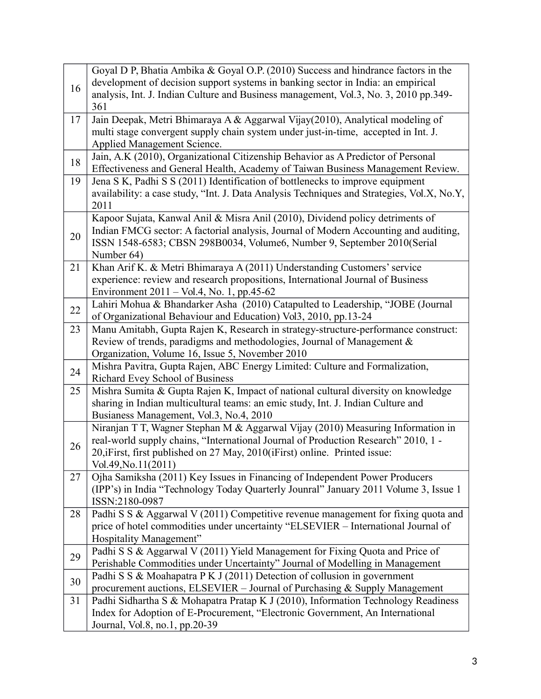|    | Goyal D P, Bhatia Ambika & Goyal O.P. (2010) Success and hindrance factors in the          |
|----|--------------------------------------------------------------------------------------------|
| 16 | development of decision support systems in banking sector in India: an empirical           |
|    | analysis, Int. J. Indian Culture and Business management, Vol.3, No. 3, 2010 pp.349-       |
|    | 361                                                                                        |
| 17 | Jain Deepak, Metri Bhimaraya A & Aggarwal Vijay(2010), Analytical modeling of              |
|    | multi stage convergent supply chain system under just-in-time, accepted in Int. J.         |
|    | Applied Management Science.                                                                |
| 18 | Jain, A.K (2010), Organizational Citizenship Behavior as A Predictor of Personal           |
|    | Effectiveness and General Health, Academy of Taiwan Business Management Review.            |
| 19 | Jena S K, Padhi S S (2011) Identification of bottlenecks to improve equipment              |
|    | availability: a case study, "Int. J. Data Analysis Techniques and Strategies, Vol.X, No.Y, |
|    | 2011                                                                                       |
|    | Kapoor Sujata, Kanwal Anil & Misra Anil (2010), Dividend policy detriments of              |
| 20 | Indian FMCG sector: A factorial analysis, Journal of Modern Accounting and auditing,       |
|    | ISSN 1548-6583; CBSN 298B0034, Volume6, Number 9, September 2010(Serial                    |
|    | Number 64)                                                                                 |
| 21 | Khan Arif K. & Metri Bhimaraya A (2011) Understanding Customers' service                   |
|    | experience: review and research propositions, International Journal of Business            |
|    | Environment 2011 - Vol.4, No. 1, pp.45-62                                                  |
| 22 | Lahiri Mohua & Bhandarker Asha (2010) Catapulted to Leadership, "JOBE (Journal             |
|    | of Organizational Behaviour and Education) Vol3, 2010, pp.13-24                            |
| 23 | Manu Amitabh, Gupta Rajen K, Research in strategy-structure-performance construct:         |
|    | Review of trends, paradigms and methodologies, Journal of Management &                     |
|    | Organization, Volume 16, Issue 5, November 2010                                            |
| 24 | Mishra Pavitra, Gupta Rajen, ABC Energy Limited: Culture and Formalization,                |
|    | Richard Evey School of Business                                                            |
| 25 | Mishra Sumita & Gupta Rajen K, Impact of national cultural diversity on knowledge          |
|    | sharing in Indian multicultural teams: an emic study, Int. J. Indian Culture and           |
|    | Busianess Management, Vol.3, No.4, 2010                                                    |
|    | Niranjan T T, Wagner Stephan M & Aggarwal Vijay (2010) Measuring Information in            |
| 26 | real-world supply chains, "International Journal of Production Research" 2010, 1 -         |
|    | 20, iFirst, first published on 27 May, 2010(iFirst) online. Printed issue:                 |
|    | Vol.49, No.11(2011)                                                                        |
| 27 | Ojha Samiksha (2011) Key Issues in Financing of Independent Power Producers                |
|    | (IPP's) in India "Technology Today Quarterly Jounral" January 2011 Volume 3, Issue 1       |
|    | ISSN:2180-0987                                                                             |
| 28 | Padhi S S & Aggarwal V (2011) Competitive revenue management for fixing quota and          |
|    | price of hotel commodities under uncertainty "ELSEVIER - International Journal of          |
|    | <b>Hospitality Management</b> "                                                            |
| 29 | Padhi S S & Aggarwal V (2011) Yield Management for Fixing Quota and Price of               |
|    | Perishable Commodities under Uncertainty" Journal of Modelling in Management               |
| 30 | Padhi S S & Moahapatra P K J (2011) Detection of collusion in government                   |
|    | procurement auctions, ELSEVIER - Journal of Purchasing & Supply Management                 |
| 31 | Padhi Sidhartha S & Mohapatra Pratap K J (2010), Information Technology Readiness          |
|    | Index for Adoption of E-Procurement, "Electronic Government, An International              |
|    | Journal, Vol.8, no.1, pp.20-39                                                             |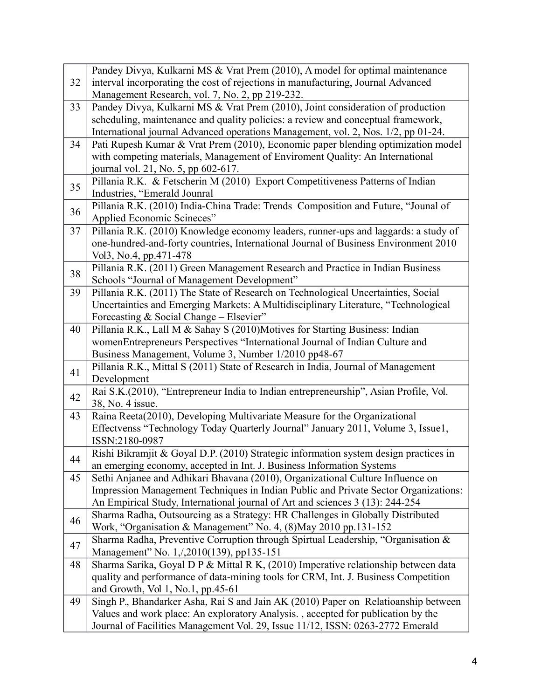|    | Pandey Divya, Kulkarni MS & Vrat Prem (2010), A model for optimal maintenance        |
|----|--------------------------------------------------------------------------------------|
| 32 | interval incorporating the cost of rejections in manufacturing, Journal Advanced     |
|    | Management Research, vol. 7, No. 2, pp 219-232.                                      |
| 33 | Pandey Divya, Kulkarni MS & Vrat Prem (2010), Joint consideration of production      |
|    | scheduling, maintenance and quality policies: a review and conceptual framework,     |
|    | International journal Advanced operations Management, vol. 2, Nos. 1/2, pp 01-24.    |
| 34 | Pati Rupesh Kumar & Vrat Prem (2010), Economic paper blending optimization model     |
|    | with competing materials, Management of Enviroment Quality: An International         |
|    | journal vol. 21, No. 5, pp 602-617.                                                  |
|    | Pillania R.K. & Fetscherin M (2010) Export Competitiveness Patterns of Indian        |
| 35 | Industries, "Emerald Jounral                                                         |
|    | Pillania R.K. (2010) India-China Trade: Trends Composition and Future, "Jounal of    |
| 36 | Applied Economic Scineces"                                                           |
| 37 | Pillania R.K. (2010) Knowledge economy leaders, runner-ups and laggards: a study of  |
|    | one-hundred-and-forty countries, International Journal of Business Environment 2010  |
|    | Vol3, No.4, pp.471-478                                                               |
| 38 | Pillania R.K. (2011) Green Management Research and Practice in Indian Business       |
|    | Schools "Journal of Management Development"                                          |
| 39 | Pillania R.K. (2011) The State of Research on Technological Uncertainties, Social    |
|    | Uncertainties and Emerging Markets: A Multidisciplinary Literature, "Technological   |
|    | Forecasting & Social Change – Elsevier"                                              |
| 40 | Pillania R.K., Lall M & Sahay S (2010)Motives for Starting Business: Indian          |
|    | womenEntrepreneurs Perspectives "International Journal of Indian Culture and         |
|    | Business Management, Volume 3, Number 1/2010 pp48-67                                 |
| 41 | Pillania R.K., Mittal S (2011) State of Research in India, Journal of Management     |
|    | Development                                                                          |
| 42 | Rai S.K.(2010), "Entrepreneur India to Indian entrepreneurship", Asian Profile, Vol. |
|    | 38, No. 4 issue.                                                                     |
| 43 | Raina Reeta(2010), Developing Multivariate Measure for the Organizational            |
|    | Effectvenss "Technology Today Quarterly Journal" January 2011, Volume 3, Issue1,     |
|    | ISSN:2180-0987                                                                       |
| 44 | Rishi Bikramjit & Goyal D.P. (2010) Strategic information system design practices in |
|    | an emerging economy, accepted in Int. J. Business Information Systems                |
| 45 | Sethi Anjanee and Adhikari Bhavana (2010), Organizational Culture Influence on       |
|    | Impression Management Techniques in Indian Public and Private Sector Organizations:  |
|    | An Empirical Study, International journal of Art and sciences 3 (13): 244-254        |
| 46 | Sharma Radha, Outsourcing as a Strategy: HR Challenges in Globally Distributed       |
|    | Work, "Organisation & Management" No. 4, (8) May 2010 pp.131-152                     |
| 47 | Sharma Radha, Preventive Corruption through Spirtual Leadership, "Organisation &     |
|    | Management" No. 1,/2010(139), pp135-151                                              |
| 48 | Sharma Sarika, Goyal D P & Mittal R K, (2010) Imperative relationship between data   |
|    | quality and performance of data-mining tools for CRM, Int. J. Business Competition   |
|    | and Growth, Vol 1, No.1, pp.45-61                                                    |
| 49 | Singh P., Bhandarker Asha, Rai S and Jain AK (2010) Paper on Relatioanship between   |
|    | Values and work place: An exploratory Analysis., accepted for publication by the     |
|    | Journal of Facilities Management Vol. 29, Issue 11/12, ISSN: 0263-2772 Emerald       |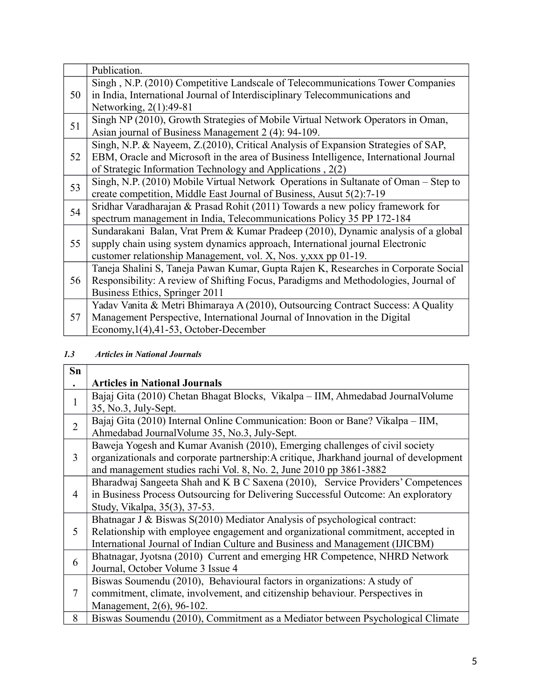|    | Publication.                                                                          |
|----|---------------------------------------------------------------------------------------|
|    | Singh, N.P. (2010) Competitive Landscale of Telecommunications Tower Companies        |
| 50 | in India, International Journal of Interdisciplinary Telecommunications and           |
|    | Networking, 2(1):49-81                                                                |
| 51 | Singh NP (2010), Growth Strategies of Mobile Virtual Network Operators in Oman,       |
|    | Asian journal of Business Management 2 (4): 94-109.                                   |
|    | Singh, N.P. & Nayeem, Z.(2010), Critical Analysis of Expansion Strategies of SAP,     |
| 52 | EBM, Oracle and Microsoft in the area of Business Intelligence, International Journal |
|    | of Strategic Information Technology and Applications, 2(2)                            |
| 53 | Singh, N.P. (2010) Mobile Virtual Network Operations in Sultanate of Oman – Step to   |
|    | create competition, Middle East Journal of Business, Ausut 5(2):7-19                  |
| 54 | Sridhar Varadharajan & Prasad Rohit $(2011)$ Towards a new policy framework for       |
|    | spectrum management in India, Telecommunications Policy 35 PP 172-184                 |
|    | Sundarakani Balan, Vrat Prem & Kumar Pradeep (2010), Dynamic analysis of a global     |
| 55 | supply chain using system dynamics approach, International journal Electronic         |
|    | customer relationship Management, vol. X, Nos. y, xxx pp 01-19.                       |
|    | Taneja Shalini S, Taneja Pawan Kumar, Gupta Rajen K, Researches in Corporate Social   |
| 56 | Responsibility: A review of Shifting Focus, Paradigms and Methodologies, Journal of   |
|    | Business Ethics, Springer 2011                                                        |
| 57 | Yadav Vanita & Metri Bhimaraya A (2010), Outsourcing Contract Success: A Quality      |
|    | Management Perspective, International Journal of Innovation in the Digital            |
|    | Economy, 1(4), 41-53, October-December                                                |

*1.3 Articles in National Journals*

| Sn             |                                                                                         |
|----------------|-----------------------------------------------------------------------------------------|
|                | <b>Articles in National Journals</b>                                                    |
| $\mathbf{1}$   | Bajaj Gita (2010) Chetan Bhagat Blocks, Vikalpa – IIM, Ahmedabad Journal Volume         |
|                | 35, No.3, July-Sept.                                                                    |
| $\overline{2}$ | Bajaj Gita (2010) Internal Online Communication: Boon or Bane? Vikalpa – IIM,           |
|                | Ahmedabad JournalVolume 35, No.3, July-Sept.                                            |
|                | Baweja Yogesh and Kumar Avanish (2010), Emerging challenges of civil society            |
| 3              | organizationals and corporate partnership: A critique, Jharkhand journal of development |
|                | and management studies rachi Vol. 8, No. 2, June 2010 pp 3861-3882                      |
|                | Bharadwaj Sangeeta Shah and K B C Saxena (2010), Service Providers' Competences         |
| 4              | in Business Process Outsourcing for Delivering Successful Outcome: An exploratory       |
|                | Study, Vikalpa, 35(3), 37-53.                                                           |
|                | Bhatnagar J & Biswas S(2010) Mediator Analysis of psychological contract:               |
| 5              | Relationship with employee engagement and organizational commitment, accepted in        |
|                | International Journal of Indian Culture and Business and Management (IJICBM)            |
| 6              | Bhatnagar, Jyotsna (2010) Current and emerging HR Competence, NHRD Network              |
|                | Journal, October Volume 3 Issue 4                                                       |
| 7              | Biswas Soumendu (2010), Behavioural factors in organizations: A study of                |
|                | commitment, climate, involvement, and citizenship behaviour. Perspectives in            |
|                | Management, 2(6), 96-102.                                                               |
| 8              | Biswas Soumendu (2010), Commitment as a Mediator between Psychological Climate          |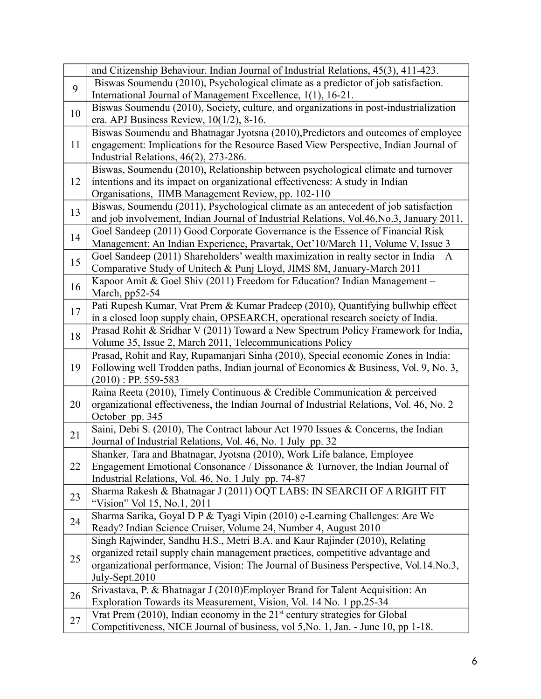|          | and Citizenship Behaviour. Indian Journal of Industrial Relations, 45(3), 411-423.                                                                                                                                                                     |
|----------|--------------------------------------------------------------------------------------------------------------------------------------------------------------------------------------------------------------------------------------------------------|
| 9        | Biswas Soumendu (2010), Psychological climate as a predictor of job satisfaction.                                                                                                                                                                      |
|          | International Journal of Management Excellence, 1(1), 16-21.                                                                                                                                                                                           |
| 10       | Biswas Soumendu (2010), Society, culture, and organizations in post-industrialization                                                                                                                                                                  |
|          | era. APJ Business Review, $10(1/2)$ , 8-16.                                                                                                                                                                                                            |
|          | Biswas Soumendu and Bhatnagar Jyotsna (2010), Predictors and outcomes of employee                                                                                                                                                                      |
| 11       | engagement: Implications for the Resource Based View Perspective, Indian Journal of                                                                                                                                                                    |
|          | Industrial Relations, 46(2), 273-286.                                                                                                                                                                                                                  |
|          | Biswas, Soumendu (2010), Relationship between psychological climate and turnover                                                                                                                                                                       |
| 12       | intentions and its impact on organizational effectiveness: A study in Indian                                                                                                                                                                           |
|          | Organisations, IIMB Management Review, pp. 102-110                                                                                                                                                                                                     |
| 13       | Biswas, Soumendu (2011), Psychological climate as an antecedent of job satisfaction                                                                                                                                                                    |
|          | and job involvement, Indian Journal of Industrial Relations, Vol.46, No.3, January 2011.                                                                                                                                                               |
| 14       | Goel Sandeep (2011) Good Corporate Governance is the Essence of Financial Risk                                                                                                                                                                         |
|          | Management: An Indian Experience, Pravartak, Oct'10/March 11, Volume V, Issue 3                                                                                                                                                                        |
| 15       | Goel Sandeep (2011) Shareholders' wealth maximization in realty sector in India $-A$                                                                                                                                                                   |
|          | Comparative Study of Unitech & Punj Lloyd, JIMS 8M, January-March 2011                                                                                                                                                                                 |
| 16       | Kapoor Amit & Goel Shiv (2011) Freedom for Education? Indian Management -                                                                                                                                                                              |
|          | March, pp52-54                                                                                                                                                                                                                                         |
| 17       | Pati Rupesh Kumar, Vrat Prem & Kumar Pradeep (2010), Quantifying bullwhip effect                                                                                                                                                                       |
|          | in a closed loop supply chain, OPSEARCH, operational research society of India.                                                                                                                                                                        |
| 18       | Prasad Rohit & Sridhar V (2011) Toward a New Spectrum Policy Framework for India,                                                                                                                                                                      |
|          | Volume 35, Issue 2, March 2011, Telecommunications Policy                                                                                                                                                                                              |
|          | Prasad, Rohit and Ray, Rupamanjari Sinha (2010), Special economic Zones in India:                                                                                                                                                                      |
| 19       | Following well Trodden paths, Indian journal of Economics & Business, Vol. 9, No. 3,                                                                                                                                                                   |
|          | $(2010)$ : PP. 559-583                                                                                                                                                                                                                                 |
|          | Raina Reeta (2010), Timely Continuous & Credible Communication & perceived                                                                                                                                                                             |
| 20       | organizational effectiveness, the Indian Journal of Industrial Relations, Vol. 46, No. 2                                                                                                                                                               |
|          | October pp. 345                                                                                                                                                                                                                                        |
| 21       | Saini, Debi S. (2010), The Contract labour Act 1970 Issues & Concerns, the Indian                                                                                                                                                                      |
|          | Journal of Industrial Relations, Vol. 46, No. 1 July pp. 32                                                                                                                                                                                            |
| 22       | Shanker, Tara and Bhatnagar, Jyotsna (2010), Work Life balance, Employee<br>Engagement Emotional Consonance / Dissonance $\&$ Turnover, the Indian Journal of                                                                                          |
|          | Industrial Relations, Vol. 46, No. 1 July pp. 74-87                                                                                                                                                                                                    |
|          | Sharma Rakesh & Bhatnagar J (2011) OQT LABS: IN SEARCH OF A RIGHT FIT                                                                                                                                                                                  |
| 23       | "Vision" Vol 15, No.1, 2011                                                                                                                                                                                                                            |
|          | Sharma Sarika, Goyal D P & Tyagi Vipin (2010) e-Learning Challenges: Are We                                                                                                                                                                            |
| 24       | Ready? Indian Science Cruiser, Volume 24, Number 4, August 2010                                                                                                                                                                                        |
|          | Singh Rajwinder, Sandhu H.S., Metri B.A. and Kaur Rajinder (2010), Relating                                                                                                                                                                            |
|          | organized retail supply chain management practices, competitive advantage and                                                                                                                                                                          |
| 25       | organizational performance, Vision: The Journal of Business Perspective, Vol.14.No.3,                                                                                                                                                                  |
|          |                                                                                                                                                                                                                                                        |
|          |                                                                                                                                                                                                                                                        |
|          |                                                                                                                                                                                                                                                        |
|          |                                                                                                                                                                                                                                                        |
|          | Competitiveness, NICE Journal of business, vol 5, No. 1, Jan. - June 10, pp 1-18.                                                                                                                                                                      |
| 26<br>27 | July-Sept.2010<br>Srivastava, P. & Bhatnagar J (2010) Employer Brand for Talent Acquisition: An<br>Exploration Towards its Measurement, Vision, Vol. 14 No. 1 pp.25-34<br>Vrat Prem (2010), Indian economy in the $21st$ century strategies for Global |
|          |                                                                                                                                                                                                                                                        |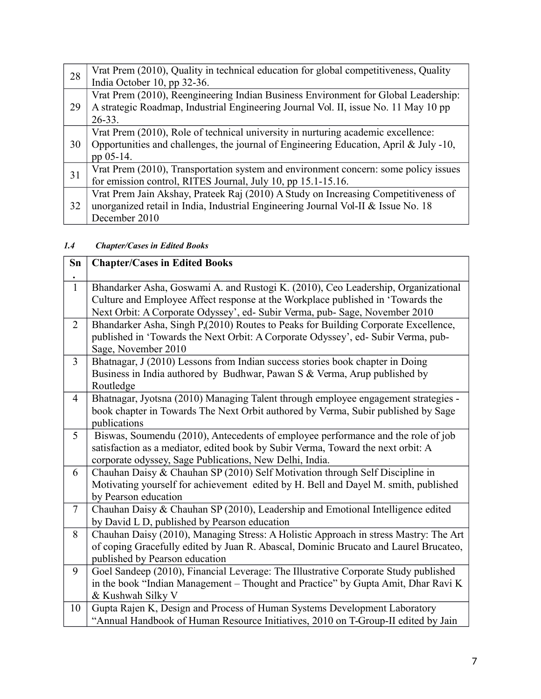| 28 | Vrat Prem (2010), Quality in technical education for global competitiveness, Quality  |
|----|---------------------------------------------------------------------------------------|
|    | India October 10, pp 32-36.                                                           |
| 29 | Vrat Prem (2010), Reengineering Indian Business Environment for Global Leadership:    |
|    | A strategic Roadmap, Industrial Engineering Journal Vol. II, issue No. 11 May 10 pp   |
|    | $26 - 33$ .                                                                           |
| 30 | Vrat Prem (2010), Role of technical university in nurturing academic excellence:      |
|    | Opportunities and challenges, the journal of Engineering Education, April & July -10, |
|    | pp 05-14.                                                                             |
| 31 | Vrat Prem (2010), Transportation system and environment concern: some policy issues   |
|    | for emission control, RITES Journal, July 10, pp 15.1-15.16.                          |
| 32 | Vrat Prem Jain Akshay, Prateek Raj (2010) A Study on Increasing Competitiveness of    |
|    | unorganized retail in India, Industrial Engineering Journal Vol-II & Issue No. 18     |
|    | December 2010                                                                         |

#### *1.4 Chapter/Cases in Edited Books*

| Sn             | <b>Chapter/Cases in Edited Books</b>                                                                                                                                 |
|----------------|----------------------------------------------------------------------------------------------------------------------------------------------------------------------|
| $\bullet$      |                                                                                                                                                                      |
| $\mathbf{1}$   | Bhandarker Asha, Goswami A. and Rustogi K. (2010), Ceo Leadership, Organizational                                                                                    |
|                | Culture and Employee Affect response at the Workplace published in 'Towards the                                                                                      |
|                | Next Orbit: A Corporate Odyssey', ed- Subir Verma, pub- Sage, November 2010                                                                                          |
| $\overline{2}$ | Bhandarker Asha, Singh P,(2010) Routes to Peaks for Building Corporate Excellence,                                                                                   |
|                | published in 'Towards the Next Orbit: A Corporate Odyssey', ed- Subir Verma, pub-                                                                                    |
|                | Sage, November 2010                                                                                                                                                  |
| $\overline{3}$ | Bhatnagar, J (2010) Lessons from Indian success stories book chapter in Doing                                                                                        |
|                | Business in India authored by Budhwar, Pawan S & Verma, Arup published by                                                                                            |
|                | Routledge                                                                                                                                                            |
| $\overline{4}$ | Bhatnagar, Jyotsna (2010) Managing Talent through employee engagement strategies -                                                                                   |
|                | book chapter in Towards The Next Orbit authored by Verma, Subir published by Sage                                                                                    |
| 5              | publications                                                                                                                                                         |
|                | Biswas, Soumendu (2010), Antecedents of employee performance and the role of job<br>satisfaction as a mediator, edited book by Subir Verma, Toward the next orbit: A |
|                | corporate odyssey, Sage Publications, New Delhi, India.                                                                                                              |
| 6              | Chauhan Daisy & Chauhan SP (2010) Self Motivation through Self Discipline in                                                                                         |
|                | Motivating yourself for achievement edited by H. Bell and Dayel M. smith, published                                                                                  |
|                | by Pearson education                                                                                                                                                 |
| $\tau$         | Chauhan Daisy & Chauhan SP (2010), Leadership and Emotional Intelligence edited                                                                                      |
|                | by David L D, published by Pearson education                                                                                                                         |
| 8              | Chauhan Daisy (2010), Managing Stress: A Holistic Approach in stress Mastry: The Art                                                                                 |
|                | of coping Gracefully edited by Juan R. Abascal, Dominic Brucato and Laurel Brucateo,                                                                                 |
|                | published by Pearson education                                                                                                                                       |
| 9              | Goel Sandeep (2010), Financial Leverage: The Illustrative Corporate Study published                                                                                  |
|                | in the book "Indian Management - Thought and Practice" by Gupta Amit, Dhar Ravi K                                                                                    |
|                | & Kushwah Silky V                                                                                                                                                    |
| 10             | Gupta Rajen K, Design and Process of Human Systems Development Laboratory                                                                                            |
|                | "Annual Handbook of Human Resource Initiatives, 2010 on T-Group-II edited by Jain                                                                                    |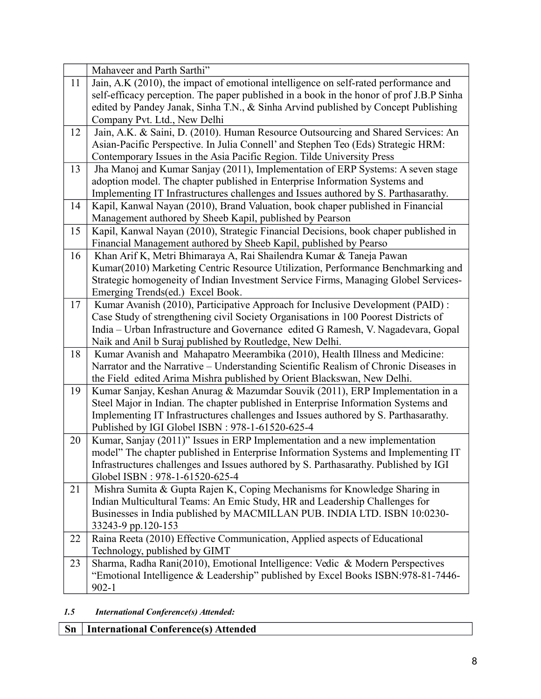|    | Mahaveer and Parth Sarthi"                                                               |
|----|------------------------------------------------------------------------------------------|
| 11 | Jain, A.K (2010), the impact of emotional intelligence on self-rated performance and     |
|    | self-efficacy perception. The paper published in a book in the honor of prof J.B.P Sinha |
|    | edited by Pandey Janak, Sinha T.N., & Sinha Arvind published by Concept Publishing       |
|    | Company Pvt. Ltd., New Delhi                                                             |
| 12 | Jain, A.K. & Saini, D. (2010). Human Resource Outsourcing and Shared Services: An        |
|    | Asian-Pacific Perspective. In Julia Connell' and Stephen Teo (Eds) Strategic HRM:        |
|    | Contemporary Issues in the Asia Pacific Region. Tilde University Press                   |
| 13 | Jha Manoj and Kumar Sanjay (2011), Implementation of ERP Systems: A seven stage          |
|    | adoption model. The chapter published in Enterprise Information Systems and              |
|    | Implementing IT Infrastructures challenges and Issues authored by S. Parthasarathy.      |
| 14 | Kapil, Kanwal Nayan (2010), Brand Valuation, book chaper published in Financial          |
|    | Management authored by Sheeb Kapil, published by Pearson                                 |
| 15 | Kapil, Kanwal Nayan (2010), Strategic Financial Decisions, book chaper published in      |
|    | Financial Management authored by Sheeb Kapil, published by Pearso                        |
| 16 | Khan Arif K, Metri Bhimaraya A, Rai Shailendra Kumar & Taneja Pawan                      |
|    | Kumar(2010) Marketing Centric Resource Utilization, Performance Benchmarking and         |
|    | Strategic homogeneity of Indian Investment Service Firms, Managing Globel Services-      |
|    | Emerging Trends(ed.) Excel Book.                                                         |
| 17 | Kumar Avanish (2010), Participative Approach for Inclusive Development (PAID):           |
|    | Case Study of strengthening civil Society Organisations in 100 Poorest Districts of      |
|    | India - Urban Infrastructure and Governance edited G Ramesh, V. Nagadevara, Gopal        |
|    | Naik and Anil b Suraj published by Routledge, New Delhi.                                 |
| 18 | Kumar Avanish and Mahapatro Meerambika (2010), Health Illness and Medicine:              |
|    | Narrator and the Narrative – Understanding Scientific Realism of Chronic Diseases in     |
|    | the Field edited Arima Mishra published by Orient Blackswan, New Delhi.                  |
| 19 | Kumar Sanjay, Keshan Anurag & Mazumdar Souvik (2011), ERP Implementation in a            |
|    | Steel Major in Indian. The chapter published in Enterprise Information Systems and       |
|    | Implementing IT Infrastructures challenges and Issues authored by S. Parthasarathy.      |
|    | Published by IGI Globel ISBN: 978-1-61520-625-4                                          |
| 20 | Kumar, Sanjay (2011)" Issues in ERP Implementation and a new implementation              |
|    | model" The chapter published in Enterprise Information Systems and Implementing IT       |
|    | Infrastructures challenges and Issues authored by S. Parthasarathy. Published by IGI     |
|    | Globel ISBN: 978-1-61520-625-4                                                           |
| 21 | Mishra Sumita & Gupta Rajen K, Coping Mechanisms for Knowledge Sharing in                |
|    | Indian Multicultural Teams: An Emic Study, HR and Leadership Challenges for              |
|    | Businesses in India published by MACMILLAN PUB. INDIA LTD. ISBN 10:0230-                 |
|    | 33243-9 pp.120-153                                                                       |
| 22 | Raina Reeta (2010) Effective Communication, Applied aspects of Educational               |
|    | Technology, published by GIMT                                                            |
| 23 | Sharma, Radha Rani(2010), Emotional Intelligence: Vedic & Modern Perspectives            |
|    | "Emotional Intelligence & Leadership" published by Excel Books ISBN:978-81-7446-         |
|    | $902 - 1$                                                                                |

### *1.5 International Conference(s) Attended:*

# **Sn International Conference(s) Attended**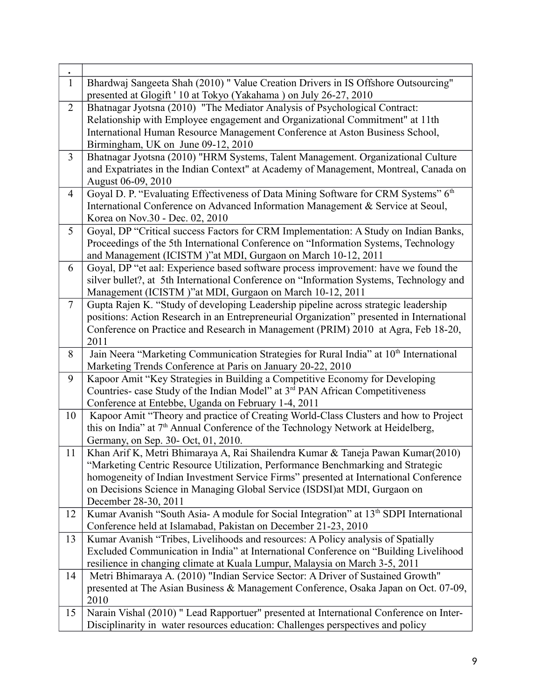| $\overline{1}$ | Bhardwaj Sangeeta Shah (2010) " Value Creation Drivers in IS Offshore Outsourcing"                                                                                         |
|----------------|----------------------------------------------------------------------------------------------------------------------------------------------------------------------------|
|                | presented at Glogift ' 10 at Tokyo (Yakahama ) on July 26-27, 2010                                                                                                         |
| $\overline{2}$ | Bhatnagar Jyotsna (2010) "The Mediator Analysis of Psychological Contract:                                                                                                 |
|                | Relationship with Employee engagement and Organizational Commitment" at 11th                                                                                               |
|                | International Human Resource Management Conference at Aston Business School,                                                                                               |
|                | Birmingham, UK on June 09-12, 2010                                                                                                                                         |
| $\overline{3}$ | Bhatnagar Jyotsna (2010) "HRM Systems, Talent Management. Organizational Culture                                                                                           |
|                | and Expatriates in the Indian Context" at Academy of Management, Montreal, Canada on                                                                                       |
|                | August 06-09, 2010                                                                                                                                                         |
| $\overline{4}$ | Goyal D. P. "Evaluating Effectiveness of Data Mining Software for CRM Systems" 6th                                                                                         |
|                | International Conference on Advanced Information Management & Service at Seoul,                                                                                            |
|                | Korea on Nov.30 - Dec. 02, 2010                                                                                                                                            |
| 5              | Goyal, DP "Critical success Factors for CRM Implementation: A Study on Indian Banks,                                                                                       |
|                | Proceedings of the 5th International Conference on "Information Systems, Technology                                                                                        |
|                | and Management (ICISTM)" at MDI, Gurgaon on March 10-12, 2011                                                                                                              |
| 6              | Goyal, DP "et aal: Experience based software process improvement: have we found the                                                                                        |
|                | silver bullet?, at 5th International Conference on "Information Systems, Technology and                                                                                    |
|                | Management (ICISTM)"at MDI, Gurgaon on March 10-12, 2011                                                                                                                   |
| $\overline{7}$ | Gupta Rajen K. "Study of developing Leadership pipeline across strategic leadership                                                                                        |
|                | positions: Action Research in an Entrepreneurial Organization" presented in International                                                                                  |
|                | Conference on Practice and Research in Management (PRIM) 2010 at Agra, Feb 18-20,                                                                                          |
|                | 2011                                                                                                                                                                       |
| 8              | Jain Neera "Marketing Communication Strategies for Rural India" at 10 <sup>th</sup> International                                                                          |
|                |                                                                                                                                                                            |
|                | Marketing Trends Conference at Paris on January 20-22, 2010                                                                                                                |
| 9              | Kapoor Amit "Key Strategies in Building a Competitive Economy for Developing                                                                                               |
|                | Countries- case Study of the Indian Model" at 3 <sup>rd</sup> PAN African Competitiveness                                                                                  |
|                | Conference at Entebbe, Uganda on February 1-4, 2011                                                                                                                        |
| 10             | Kapoor Amit "Theory and practice of Creating World-Class Clusters and how to Project                                                                                       |
|                | this on India" at 7 <sup>th</sup> Annual Conference of the Technology Network at Heidelberg,                                                                               |
|                | Germany, on Sep. 30- Oct, 01, 2010.                                                                                                                                        |
| 11             | Khan Arif K, Metri Bhimaraya A, Rai Shailendra Kumar & Taneja Pawan Kumar(2010)                                                                                            |
|                | "Marketing Centric Resource Utilization, Performance Benchmarking and Strategic                                                                                            |
|                | homogeneity of Indian Investment Service Firms" presented at International Conference                                                                                      |
|                | on Decisions Science in Managing Global Service (ISDSI) at MDI, Gurgaon on                                                                                                 |
|                | December 28-30, 2011                                                                                                                                                       |
| 12             | Kumar Avanish "South Asia- A module for Social Integration" at 13 <sup>th</sup> SDPI International<br>Conference held at Islamabad, Pakistan on December 21-23, 2010       |
| 13             |                                                                                                                                                                            |
|                | Kumar Avanish "Tribes, Livelihoods and resources: A Policy analysis of Spatially                                                                                           |
|                | Excluded Communication in India" at International Conference on "Building Livelihood                                                                                       |
| 14             | resilience in changing climate at Kuala Lumpur, Malaysia on March 3-5, 2011                                                                                                |
|                | Metri Bhimaraya A. (2010) "Indian Service Sector: A Driver of Sustained Growth"<br>presented at The Asian Business & Management Conference, Osaka Japan on Oct. 07-09,     |
|                | 2010                                                                                                                                                                       |
| 15             | Narain Vishal (2010) " Lead Rapportuer" presented at International Conference on Inter-<br>Disciplinarity in water resources education: Challenges perspectives and policy |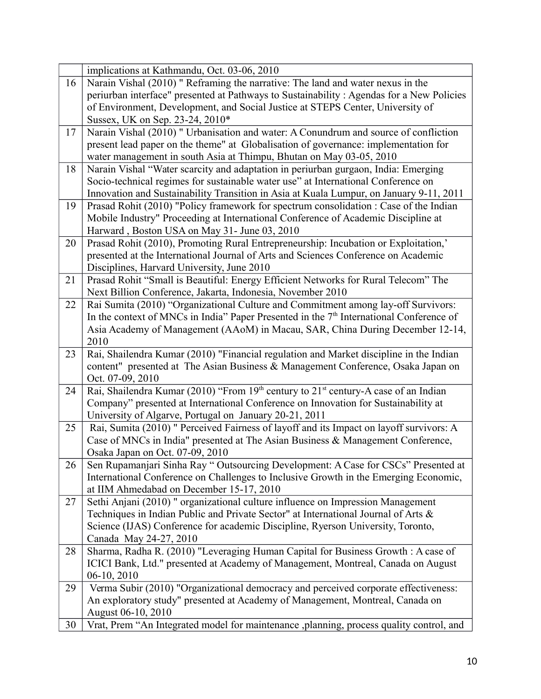|    | implications at Kathmandu, Oct. 03-06, 2010                                                                                                                                |
|----|----------------------------------------------------------------------------------------------------------------------------------------------------------------------------|
| 16 | Narain Vishal (2010) " Reframing the narrative: The land and water nexus in the                                                                                            |
|    | periurban interface" presented at Pathways to Sustainability: Agendas for a New Policies                                                                                   |
|    | of Environment, Development, and Social Justice at STEPS Center, University of                                                                                             |
|    | Sussex, UK on Sep. 23-24, 2010*                                                                                                                                            |
| 17 | Narain Vishal (2010) " Urbanisation and water: A Conundrum and source of confliction                                                                                       |
|    | present lead paper on the theme" at Globalisation of governance: implementation for                                                                                        |
|    | water management in south Asia at Thimpu, Bhutan on May 03-05, 2010                                                                                                        |
| 18 | Narain Vishal "Water scarcity and adaptation in periurban gurgaon, India: Emerging                                                                                         |
|    | Socio-technical regimes for sustainable water use" at International Conference on                                                                                          |
|    | Innovation and Sustainability Transition in Asia at Kuala Lumpur, on January 9-11, 2011                                                                                    |
| 19 | Prasad Rohit (2010) "Policy framework for spectrum consolidation : Case of the Indian                                                                                      |
|    | Mobile Industry" Proceeding at International Conference of Academic Discipline at                                                                                          |
|    | Harward, Boston USA on May 31- June 03, 2010                                                                                                                               |
| 20 | Prasad Rohit (2010), Promoting Rural Entrepreneurship: Incubation or Exploitation,'                                                                                        |
|    | presented at the International Journal of Arts and Sciences Conference on Academic                                                                                         |
|    | Disciplines, Harvard University, June 2010                                                                                                                                 |
| 21 | Prasad Rohit "Small is Beautiful: Energy Efficient Networks for Rural Telecom" The                                                                                         |
|    | Next Billion Conference, Jakarta, Indonesia, November 2010                                                                                                                 |
| 22 | Rai Sumita (2010) "Organizational Culture and Commitment among lay-off Survivors:                                                                                          |
|    | In the context of MNCs in India" Paper Presented in the 7 <sup>th</sup> International Conference of                                                                        |
|    | Asia Academy of Management (AAoM) in Macau, SAR, China During December 12-14,                                                                                              |
|    | 2010                                                                                                                                                                       |
| 23 | Rai, Shailendra Kumar (2010) "Financial regulation and Market discipline in the Indian                                                                                     |
|    | content" presented at The Asian Business & Management Conference, Osaka Japan on                                                                                           |
|    | Oct. 07-09, 2010                                                                                                                                                           |
| 24 | Rai, Shailendra Kumar (2010) "From 19 <sup>th</sup> century to 21 <sup>st</sup> century-A case of an Indian                                                                |
|    | Company" presented at International Conference on Innovation for Sustainability at                                                                                         |
| 25 | University of Algarve, Portugal on January 20-21, 2011                                                                                                                     |
|    | Rai, Sumita (2010) " Perceived Fairness of layoff and its Impact on layoff survivors: A<br>Case of MNCs in India" presented at The Asian Business & Management Conference, |
|    | Osaka Japan on Oct. 07-09, 2010                                                                                                                                            |
| 26 | Sen Rupamanjari Sinha Ray " Outsourcing Development: A Case for CSCs" Presented at                                                                                         |
|    | International Conference on Challenges to Inclusive Growth in the Emerging Economic,                                                                                       |
|    | at IIM Ahmedabad on December 15-17, 2010                                                                                                                                   |
| 27 | Sethi Anjani (2010) " organizational culture influence on Impression Management                                                                                            |
|    | Techniques in Indian Public and Private Sector" at International Journal of Arts &                                                                                         |
|    | Science (IJAS) Conference for academic Discipline, Ryerson University, Toronto,                                                                                            |
|    | Canada May 24-27, 2010                                                                                                                                                     |
| 28 | Sharma, Radha R. (2010) "Leveraging Human Capital for Business Growth : A case of                                                                                          |
|    | ICICI Bank, Ltd." presented at Academy of Management, Montreal, Canada on August                                                                                           |
|    | $06-10, 2010$                                                                                                                                                              |
| 29 | Verma Subir (2010) "Organizational democracy and perceived corporate effectiveness:                                                                                        |
|    | An exploratory study" presented at Academy of Management, Montreal, Canada on                                                                                              |
|    | August 06-10, 2010                                                                                                                                                         |
| 30 | Vrat, Prem "An Integrated model for maintenance ,planning, process quality control, and                                                                                    |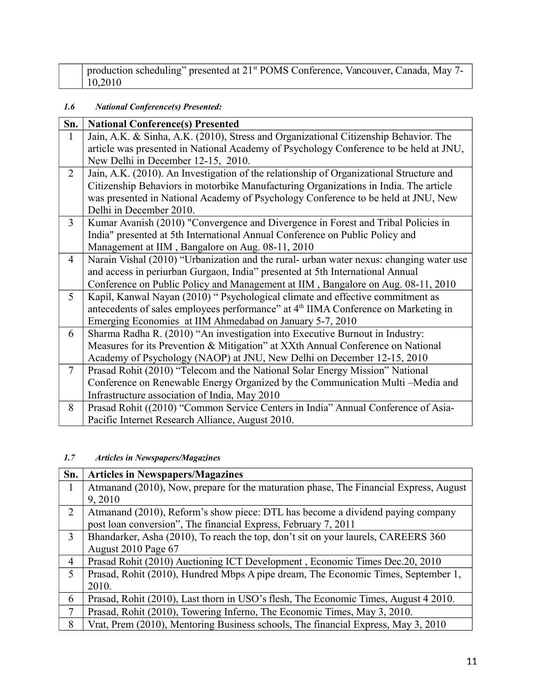| production scheduling" presented at 21 <sup>st</sup> POMS Conference, Vancouver, Canada, May 7- |
|-------------------------------------------------------------------------------------------------|
| 10,2010                                                                                         |

## *1.6 National Conference(s) Presented:*

| Sn.            | <b>National Conference(s) Presented</b>                                                        |
|----------------|------------------------------------------------------------------------------------------------|
| $\mathbf{1}$   | Jain, A.K. & Sinha, A.K. (2010), Stress and Organizational Citizenship Behavior. The           |
|                | article was presented in National Academy of Psychology Conference to be held at JNU,          |
|                | New Delhi in December 12-15, 2010.                                                             |
| $\overline{2}$ | Jain, A.K. (2010). An Investigation of the relationship of Organizational Structure and        |
|                | Citizenship Behaviors in motorbike Manufacturing Organizations in India. The article           |
|                | was presented in National Academy of Psychology Conference to be held at JNU, New              |
|                | Delhi in December 2010.                                                                        |
| $\overline{3}$ | Kumar Avanish (2010) "Convergence and Divergence in Forest and Tribal Policies in              |
|                | India" presented at 5th International Annual Conference on Public Policy and                   |
|                | Management at IIM, Bangalore on Aug. 08-11, 2010                                               |
| $\overline{4}$ | Narain Vishal (2010) "Urbanization and the rural- urban water nexus: changing water use        |
|                | and access in periurban Gurgaon, India" presented at 5th International Annual                  |
|                | Conference on Public Policy and Management at IIM, Bangalore on Aug. 08-11, 2010               |
| 5              | Kapil, Kanwal Nayan (2010) " Psychological climate and effective commitment as                 |
|                | antecedents of sales employees performance" at 4 <sup>th</sup> IIMA Conference on Marketing in |
|                | Emerging Economies at IIM Ahmedabad on January 5-7, 2010                                       |
| 6              | Sharma Radha R. (2010) "An investigation into Executive Burnout in Industry:                   |
|                | Measures for its Prevention & Mitigation" at XXth Annual Conference on National                |
|                | Academy of Psychology (NAOP) at JNU, New Delhi on December 12-15, 2010                         |
| $\overline{7}$ | Prasad Rohit (2010) "Telecom and the National Solar Energy Mission" National                   |
|                | Conference on Renewable Energy Organized by the Communication Multi –Media and                 |
|                | Infrastructure association of India, May 2010                                                  |
| 8              | Prasad Rohit ((2010) "Common Service Centers in India" Annual Conference of Asia-              |
|                | Pacific Internet Research Alliance, August 2010.                                               |

## *1.7 Articles in Newspapers/Magazines*

| Sn.            | <b>Articles in Newspapers/Magazines</b>                                               |
|----------------|---------------------------------------------------------------------------------------|
| 1              | Atmanand (2010), Now, prepare for the maturation phase, The Financial Express, August |
|                | 9,2010                                                                                |
| 2              | Atmanand (2010), Reform's show piece: DTL has become a dividend paying company        |
|                | post loan conversion", The financial Express, February 7, 2011                        |
| $\overline{3}$ | Bhandarker, Asha (2010), To reach the top, don't sit on your laurels, CAREERS 360     |
|                | August 2010 Page 67                                                                   |
| 4              | Prasad Rohit (2010) Auctioning ICT Development, Economic Times Dec. 20, 2010          |
| 5              | Prasad, Rohit (2010), Hundred Mbps A pipe dream, The Economic Times, September 1,     |
|                | 2010.                                                                                 |
| 6              | Prasad, Rohit (2010), Last thorn in USO's flesh, The Economic Times, August 4 2010.   |
| 7              | Prasad, Rohit (2010), Towering Inferno, The Economic Times, May 3, 2010.              |
| 8              | Vrat, Prem (2010), Mentoring Business schools, The financial Express, May 3, 2010     |